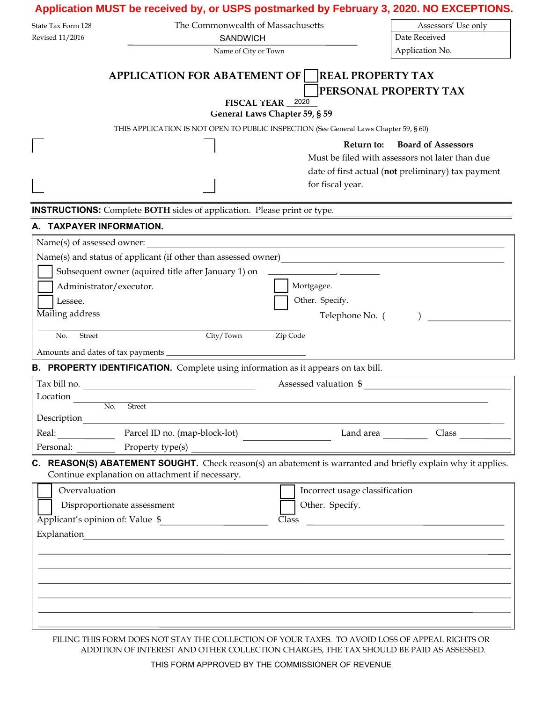| The Commonwealth of Massachusetts<br>Assessors' Use only<br>State Tax Form 128<br>Date Received<br>Revised 11/2016<br><b>SANDWICH</b><br>Application No.<br>Name of City or Town<br>APPLICATION FOR ABATEMENT OF   REAL PROPERTY TAX<br>PERSONAL PROPERTY TAX<br>FISCAL YEAR 2020<br>General Laws Chapter 59, § 59<br>THIS APPLICATION IS NOT OPEN TO PUBLIC INSPECTION (See General Laws Chapter 59, § 60)<br><b>Board of Assessors</b><br>Return to:<br>Must be filed with assessors not later than due<br>date of first actual (not preliminary) tax payment<br>for fiscal year.<br><b>INSTRUCTIONS:</b> Complete BOTH sides of application. Please print or type.<br>A. TAXPAYER INFORMATION.<br><u> 1980 - Johann Stoff, deutscher Stoffen und der Stoffen und der Stoffen und der Stoffen und der Stoffen und de</u><br>Name(s) of assessed owner:<br>Name(s) and status of applicant (if other than assessed owner)<br><u>Letter and the subset of a pplicant</u> (if other than assessed owner)<br><u>Letter and the subset of a</u> philosopher and the subset of the subset of the subset of t<br>Subsequent owner (aquired title after January 1) on<br>Administrator/executor.<br>Mortgagee. |
|----------------------------------------------------------------------------------------------------------------------------------------------------------------------------------------------------------------------------------------------------------------------------------------------------------------------------------------------------------------------------------------------------------------------------------------------------------------------------------------------------------------------------------------------------------------------------------------------------------------------------------------------------------------------------------------------------------------------------------------------------------------------------------------------------------------------------------------------------------------------------------------------------------------------------------------------------------------------------------------------------------------------------------------------------------------------------------------------------------------------------------------------------------------------------------------------------------|
|                                                                                                                                                                                                                                                                                                                                                                                                                                                                                                                                                                                                                                                                                                                                                                                                                                                                                                                                                                                                                                                                                                                                                                                                          |
|                                                                                                                                                                                                                                                                                                                                                                                                                                                                                                                                                                                                                                                                                                                                                                                                                                                                                                                                                                                                                                                                                                                                                                                                          |
|                                                                                                                                                                                                                                                                                                                                                                                                                                                                                                                                                                                                                                                                                                                                                                                                                                                                                                                                                                                                                                                                                                                                                                                                          |
|                                                                                                                                                                                                                                                                                                                                                                                                                                                                                                                                                                                                                                                                                                                                                                                                                                                                                                                                                                                                                                                                                                                                                                                                          |
|                                                                                                                                                                                                                                                                                                                                                                                                                                                                                                                                                                                                                                                                                                                                                                                                                                                                                                                                                                                                                                                                                                                                                                                                          |
|                                                                                                                                                                                                                                                                                                                                                                                                                                                                                                                                                                                                                                                                                                                                                                                                                                                                                                                                                                                                                                                                                                                                                                                                          |
|                                                                                                                                                                                                                                                                                                                                                                                                                                                                                                                                                                                                                                                                                                                                                                                                                                                                                                                                                                                                                                                                                                                                                                                                          |
|                                                                                                                                                                                                                                                                                                                                                                                                                                                                                                                                                                                                                                                                                                                                                                                                                                                                                                                                                                                                                                                                                                                                                                                                          |
|                                                                                                                                                                                                                                                                                                                                                                                                                                                                                                                                                                                                                                                                                                                                                                                                                                                                                                                                                                                                                                                                                                                                                                                                          |
|                                                                                                                                                                                                                                                                                                                                                                                                                                                                                                                                                                                                                                                                                                                                                                                                                                                                                                                                                                                                                                                                                                                                                                                                          |
|                                                                                                                                                                                                                                                                                                                                                                                                                                                                                                                                                                                                                                                                                                                                                                                                                                                                                                                                                                                                                                                                                                                                                                                                          |
|                                                                                                                                                                                                                                                                                                                                                                                                                                                                                                                                                                                                                                                                                                                                                                                                                                                                                                                                                                                                                                                                                                                                                                                                          |
|                                                                                                                                                                                                                                                                                                                                                                                                                                                                                                                                                                                                                                                                                                                                                                                                                                                                                                                                                                                                                                                                                                                                                                                                          |
|                                                                                                                                                                                                                                                                                                                                                                                                                                                                                                                                                                                                                                                                                                                                                                                                                                                                                                                                                                                                                                                                                                                                                                                                          |
|                                                                                                                                                                                                                                                                                                                                                                                                                                                                                                                                                                                                                                                                                                                                                                                                                                                                                                                                                                                                                                                                                                                                                                                                          |
|                                                                                                                                                                                                                                                                                                                                                                                                                                                                                                                                                                                                                                                                                                                                                                                                                                                                                                                                                                                                                                                                                                                                                                                                          |
|                                                                                                                                                                                                                                                                                                                                                                                                                                                                                                                                                                                                                                                                                                                                                                                                                                                                                                                                                                                                                                                                                                                                                                                                          |
|                                                                                                                                                                                                                                                                                                                                                                                                                                                                                                                                                                                                                                                                                                                                                                                                                                                                                                                                                                                                                                                                                                                                                                                                          |
| Other. Specify.<br>Lessee.                                                                                                                                                                                                                                                                                                                                                                                                                                                                                                                                                                                                                                                                                                                                                                                                                                                                                                                                                                                                                                                                                                                                                                               |
| Mailing address<br>Telephone No. (                                                                                                                                                                                                                                                                                                                                                                                                                                                                                                                                                                                                                                                                                                                                                                                                                                                                                                                                                                                                                                                                                                                                                                       |
|                                                                                                                                                                                                                                                                                                                                                                                                                                                                                                                                                                                                                                                                                                                                                                                                                                                                                                                                                                                                                                                                                                                                                                                                          |
| Zip Code<br>Street<br>City/Town<br>No.                                                                                                                                                                                                                                                                                                                                                                                                                                                                                                                                                                                                                                                                                                                                                                                                                                                                                                                                                                                                                                                                                                                                                                   |
|                                                                                                                                                                                                                                                                                                                                                                                                                                                                                                                                                                                                                                                                                                                                                                                                                                                                                                                                                                                                                                                                                                                                                                                                          |
| <b>B. PROPERTY IDENTIFICATION.</b> Complete using information as it appears on tax bill.                                                                                                                                                                                                                                                                                                                                                                                                                                                                                                                                                                                                                                                                                                                                                                                                                                                                                                                                                                                                                                                                                                                 |
| Assessed valuation \$<br>Tax bill no.                                                                                                                                                                                                                                                                                                                                                                                                                                                                                                                                                                                                                                                                                                                                                                                                                                                                                                                                                                                                                                                                                                                                                                    |
| Location                                                                                                                                                                                                                                                                                                                                                                                                                                                                                                                                                                                                                                                                                                                                                                                                                                                                                                                                                                                                                                                                                                                                                                                                 |
| $\overline{No.}$<br>Street<br>Description                                                                                                                                                                                                                                                                                                                                                                                                                                                                                                                                                                                                                                                                                                                                                                                                                                                                                                                                                                                                                                                                                                                                                                |
| Parcel ID no. (map-block-lot)<br>Real:<br>Land area<br>Class                                                                                                                                                                                                                                                                                                                                                                                                                                                                                                                                                                                                                                                                                                                                                                                                                                                                                                                                                                                                                                                                                                                                             |
|                                                                                                                                                                                                                                                                                                                                                                                                                                                                                                                                                                                                                                                                                                                                                                                                                                                                                                                                                                                                                                                                                                                                                                                                          |
| C. REASON(S) ABATEMENT SOUGHT. Check reason(s) an abatement is warranted and briefly explain why it applies.                                                                                                                                                                                                                                                                                                                                                                                                                                                                                                                                                                                                                                                                                                                                                                                                                                                                                                                                                                                                                                                                                             |
| Continue explanation on attachment if necessary.                                                                                                                                                                                                                                                                                                                                                                                                                                                                                                                                                                                                                                                                                                                                                                                                                                                                                                                                                                                                                                                                                                                                                         |
| Overvaluation<br>Incorrect usage classification                                                                                                                                                                                                                                                                                                                                                                                                                                                                                                                                                                                                                                                                                                                                                                                                                                                                                                                                                                                                                                                                                                                                                          |
| Other. Specify.<br>Disproportionate assessment                                                                                                                                                                                                                                                                                                                                                                                                                                                                                                                                                                                                                                                                                                                                                                                                                                                                                                                                                                                                                                                                                                                                                           |
| Applicant's opinion of: Value \$<br>Class<br><u> 1980 - Andrea Amerikaanse konstantinoplerin (</u>                                                                                                                                                                                                                                                                                                                                                                                                                                                                                                                                                                                                                                                                                                                                                                                                                                                                                                                                                                                                                                                                                                       |
| Explanation<br><u> 1989 - Johann Barn, mars an t-Amerikaansk politiker (</u>                                                                                                                                                                                                                                                                                                                                                                                                                                                                                                                                                                                                                                                                                                                                                                                                                                                                                                                                                                                                                                                                                                                             |
|                                                                                                                                                                                                                                                                                                                                                                                                                                                                                                                                                                                                                                                                                                                                                                                                                                                                                                                                                                                                                                                                                                                                                                                                          |
|                                                                                                                                                                                                                                                                                                                                                                                                                                                                                                                                                                                                                                                                                                                                                                                                                                                                                                                                                                                                                                                                                                                                                                                                          |
|                                                                                                                                                                                                                                                                                                                                                                                                                                                                                                                                                                                                                                                                                                                                                                                                                                                                                                                                                                                                                                                                                                                                                                                                          |
|                                                                                                                                                                                                                                                                                                                                                                                                                                                                                                                                                                                                                                                                                                                                                                                                                                                                                                                                                                                                                                                                                                                                                                                                          |
|                                                                                                                                                                                                                                                                                                                                                                                                                                                                                                                                                                                                                                                                                                                                                                                                                                                                                                                                                                                                                                                                                                                                                                                                          |
|                                                                                                                                                                                                                                                                                                                                                                                                                                                                                                                                                                                                                                                                                                                                                                                                                                                                                                                                                                                                                                                                                                                                                                                                          |

FILING THIS FORM DOES NOT STAY THE COLLECTION OF YOUR TAXES. TO AVOID LOSS OF APPEAL RIGHTS OR ADDITION OF INTEREST AND OTHER COLLECTION CHARGES, THE TAX SHOULD BE PAID AS ASSESSED.

THIS FORM APPROVED BY THE COMMISSIONER OF REVENUE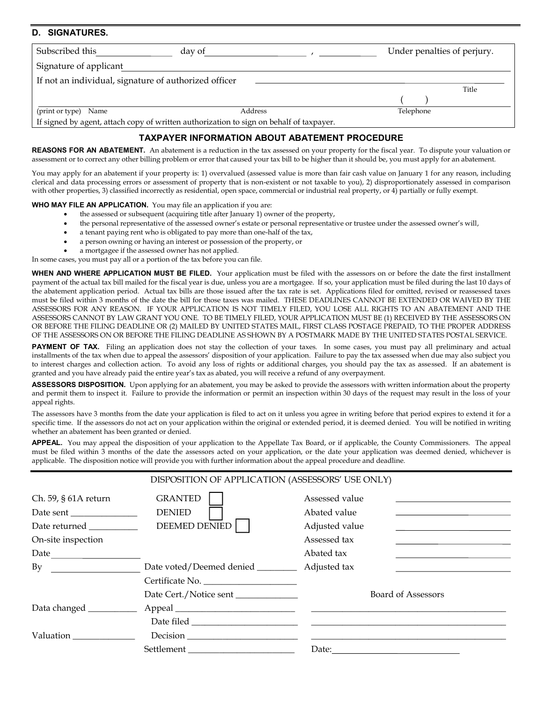#### D. **SIGNATURES.**

| Subscribed this<br>day of                                                               |         | Under penalties of perjury. |  |  |  |
|-----------------------------------------------------------------------------------------|---------|-----------------------------|--|--|--|
| Signature of applicant                                                                  |         |                             |  |  |  |
| If not an individual, signature of authorized officer                                   |         |                             |  |  |  |
|                                                                                         |         | Title                       |  |  |  |
|                                                                                         |         |                             |  |  |  |
| (print or type) Name                                                                    | Address | Telephone                   |  |  |  |
| If signed by agent, attach copy of written authorization to sign on behalf of taxpayer. |         |                             |  |  |  |

## **TAXPAYER INFORMATION ABOUT ABATEMENT PROCEDURE**

REASONS FOR AN ABATEMENT. An abatement is a reduction in the tax assessed on your property for the fiscal year. To dispute your valuation or assessment or to correct any other billing problem or error that caused your tax bill to be higher than it should be, you must apply for an abatement.

You may apply for an abatement if your property is: 1) overvalued (assessed value is more than fair cash value on January 1 for any reason, including clerical and data processing errors or assessment of property that is non-existent or not taxable to you), 2) disproportionately assessed in comparison with other properties, 3) classified incorrectly as residential, open space, commercial or industrial real property, or 4) partially or fully exempt.

WHO MAY FILE AN APPLICATION. You may file an application if you are:

- the assessed or subsequent (acquiring title after January 1) owner of the property,
- the personal representative of the assessed owner's estate or personal representative or trustee under the assessed owner's will,
- a tenant paying rent who is obligated to pay more than one-half of the tax,
- a person owning or having an interest or possession of the property, or
- a mortgagee if the assessed owner has not applied.

In some cases, you must pay all or a portion of the tax before you can file.

WHEN AND WHERE APPLICATION MUST BE FILED. Your application must be filed with the assessors on or before the date the first installment payment of the actual tax bill mailed for the fiscal year is due, unless you are a mortgagee. If so, your application must be filed during the last 10 days of the abatement application period. Actual tax bills are those issued after the tax rate is set. Applications filed for omitted, revised or reassessed taxes must be filed within 3 months of the date the bill for those taxes was mailed. THESE DEADLINES CANNOT BE EXTENDED OR WAIVED BY THE ASSESSORS FOR ANY REASON. IF YOUR APPLICATION IS NOT TIMELY FILED, YOU LOSE ALL RIGHTS TO AN ABATEMENT AND THE ASSESSORS CANNOT BY LAW GRANT YOU ONE. TO BE TIMELY FILED, YOUR APPLICATION MUST BE (1) RECEIVED BY THE ASSESSORS ON OR BEFORE THE FILING DEADLINE OR (2) MAILED BY UNITED STATES MAIL, FIRST CLASS POSTAGE PREPAID, TO THE PROPER ADDRESS OF THE ASSESSORS ON OR BEFORE THE FILING DEADLINE AS SHOWN BY A POSTMARK MADE BY THE UNITED STATES POSTAL SERVICE.

PAYMENT OF TAX. Filing an application does not stay the collection of your taxes. In some cases, you must pay all preliminary and actual installments of the tax when due to appeal the assessors' disposition of your application. Failure to pay the tax assessed when due may also subject you to interest charges and collection action. To avoid any loss of rights or additional charges, you should pay the tax as assessed. If an abatement is granted and you have already paid the entire year's tax as abated, you will receive a refund of any overpayment.

ASSESSORS DISPOSITION. Upon applying for an abatement, you may be asked to provide the assessors with written information about the property and permit them to inspect it. Failure to provide the information or permit an inspection within 30 days of the request may result in the loss of your appeal rights.

The assessors have 3 months from the date your application is filed to act on it unless you agree in writing before that period expires to extend it for a specific time. If the assessors do not act on your application within the original or extended period, it is deemed denied. You will be notified in writing whether an abatement has been granted or denied.

APPEAL. You may appeal the disposition of your application to the Appellate Tax Board, or if applicable, the County Commissioners. The appeal must be filed within 3 months of the date the assessors acted on your application, or the date your application was deemed denied, whichever is applicable. The disposition notice will provide you with further information about the appeal procedure and deadline.

| DISPOSITION OF APPLICATION (ASSESSORS' USE ONLY)                          |                                                  |                                                                                |  |  |  |  |
|---------------------------------------------------------------------------|--------------------------------------------------|--------------------------------------------------------------------------------|--|--|--|--|
| Ch. 59, § 61A return<br>Date returned _____________<br>On-site inspection | <b>GRANTED</b><br><b>DENIED</b><br>DEEMED DENIED | Assessed value<br>Abated value<br>Adjusted value<br>Assessed tax<br>Abated tax |  |  |  |  |
| Date $\qquad \qquad$<br>By                                                | Date voted/Deemed denied ________                | Adjusted tax                                                                   |  |  |  |  |
|                                                                           | Certificate No.<br>Date Cert./Notice sent        | <b>Board of Assessors</b>                                                      |  |  |  |  |
|                                                                           |                                                  |                                                                                |  |  |  |  |
| Valuation                                                                 |                                                  |                                                                                |  |  |  |  |
|                                                                           |                                                  | Date:                                                                          |  |  |  |  |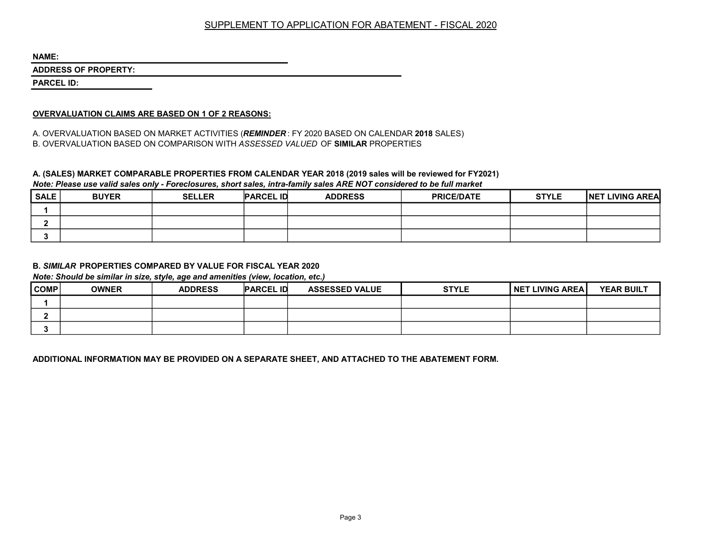# SUPPLEMENT TO APPLICATION FOR ABATEMENT - FISCAL 2020

NAME:

ADDRESS OF PROPERTY:

PARCEL ID:

### OVERVALUATION CLAIMS ARE BASED ON 1 OF 2 REASONS:

A. OVERVALUATION BASED ON MARKET ACTIVITIES (REMINDER: FY 2020 BASED ON CALENDAR 2018 SALES) B. OVERVALUATION BASED ON COMPARISON WITH ASSESSED VALUED OF SIMILAR PROPERTIES

#### A. (SALES) MARKET COMPARABLE PROPERTIES FROM CALENDAR YEAR 2018 (2019 sales will be reviewed for FY2021) Note: Please use valid sales only - Foreclosures, short sales, intra-family sales ARE NOT considered to be full market

| SALE | <b>BUYER</b> | <b>SELLER</b> | <b>PARCEL ID</b> | <b>ADDRESS</b> | <b>PRICE/DATE</b> | <b>STYLE</b> | NET LIVING AREA |
|------|--------------|---------------|------------------|----------------|-------------------|--------------|-----------------|
|      |              |               |                  |                |                   |              |                 |
|      |              |               |                  |                |                   |              |                 |
|      |              |               |                  |                |                   |              |                 |

## B. SIMILAR PROPERTIES COMPARED BY VALUE FOR FISCAL YEAR 2020

Note: Should be similar in size, style, age and amenities (view, location, etc.)

| COMP | <b>OWNER</b> | <b>ADDRESS</b> | <b>PARCEL ID</b> | <b>ASSESSED VALUE</b> | <b>STYLE</b> | I NET LIVING AREA I | <b>YEAR BUILT</b> |
|------|--------------|----------------|------------------|-----------------------|--------------|---------------------|-------------------|
|      |              |                |                  |                       |              |                     |                   |
|      |              |                |                  |                       |              |                     |                   |
|      |              |                |                  |                       |              |                     |                   |

ADDITIONAL INFORMATION MAY BE PROVIDED ON A SEPARATE SHEET, AND ATTACHED TO THE ABATEMENT FORM.